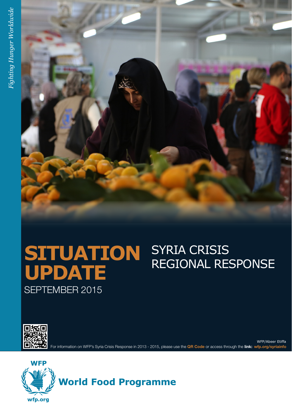

# **SITUATION** SYRIA CRISIS<br>LIBBATE REGIONAL RESPONSE **UPDATE** SEPTEMBER 2015



For information on WFP's Syria Crisis Response in 2013 - 2015, please use the **QR Code** or access through the **link: wfp.org/syriainfo** WFP/Abeer Etiffa

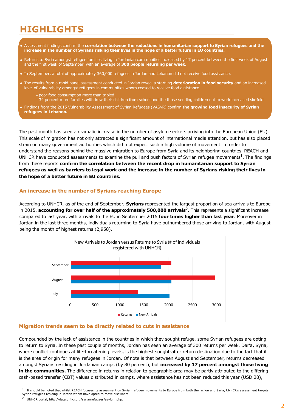# **HIGHLIGHTS**

- Assessment findings confirm the **correlation between the reductions in humanitarian support to Syrian refugees and the increase in the number of Syrians risking their lives in the hope of a better future in EU countries.**
- Returns to Syria amongst refugee families living in Jordanian communities increased by 17 percent between the first week of August and the first week of September, with an average of **300 people returning per week.**
- In September, a total of approximately 360,000 refugees in Jordan and Lebanon did not receive food assistance.
- The results from a rapid panel assessment conducted in Jordan reveal a startling **deterioration in food security** and an increased level of vulnerability amongst refugees in communities whom ceased to receive food assistance.
	- poor food consumption more than tripled -
	- 34 percent more families withdrew their children from school and the those sending children out to work increased six-fold
- Findings from the 2015 Vulnerability Assessment of Syrian Refugees (VASyR) confirm **the growing food insecurity of Syrian refugees in Lebanon.**

The past month has seen a dramatic increase in the number of asylum seekers arriving into the European Union (EU). This scale of migration has not only attracted a significant amount of international media attention, but has also placed strain on many government authorities which did not expect such a high volume of movement. In order to understand the reasons behind the massive migration to Europe from Syria and its neighboring countries, REACH and UNHCR have conducted assessments to examine the pull and push factors of Syrian refugee movements<sup>1</sup>. The findings from these reports **confirm the correlation between the recent drop in humanitarian support to Syrian refugees as well as barriers to legal work and the increase in the number of Syrians risking their lives in the hope of a better future in EU countries.**

# **An increase in the number of Syrians reaching Europe**

According to UNHCR, as of the end of September, **Syrians** represented the largest proportion of sea arrivals to Europe in 2015, **accounting for over half of the approximately 500,000 arrivals**2. This represents a significant increase compared to last year, with arrivals to the EU in September 2015 **four times higher than last year**. Moreover in Jordan in the last three months, individuals returning to Syria have outnumbered those arriving to Jordan, with August being the month of highest returns (2,958).



## **Migration trends seem to be directly related to cuts in assistance**

Compounded by the lack of assistance in the countries in which they sought refuge, some Syrian refugees are opting to return to Syria. In these past couple of months, Jordan has seen an average of 300 returns per week. Dar'a, Syria, where conflict continues at life-threatening levels, is the highest sought-after return destination due to the fact that it is the area of origin for many refugees in Jordan. Of note is that between August and September, returns decreased amongst Syrians residing in Jordanian camps (by 80 percent), but **increased by 17 percent amongst those living in the communities.** The difference in returns in relation to geographic area may be partly attributed to the differing cash-based transfer (CBT) values distributed in camps, where assistance has not been reduced this year (USD 28),

 $1$  It should be noted that whilst REACH focuses its assessment on Syrian refugee movements to Europe from both the region and Syria, UNHCR's assessment targets

Syrian refugees residing in Jordan whom have opted to move elsewhere.

<sup>2</sup> UNHCR portal, http://data.unhcr.org/syrianrefugees/asylum.php.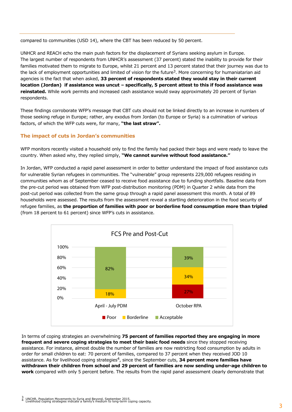compared to communities (USD 14), where the CBT has been reduced by 50 percent.

UNHCR and REACH echo the main push factors for the displacement of Syrians seeking asylum in Europe. The largest number of respondents from UNHCR's assessment (37 percent) stated the inability to provide for their families motivated them to migrate to Europe, whilst 21 percent and 13 percent stated that their journey was due to the lack of employment opportunities and limited of vision for the future<sup>3</sup>. More concerning for humaniatarian aid agencies is the fact that when asked, **33 percent of respondents stated they would stay in their current location (Jordan) if assistance was uncut – specifically, 5 percent attest to this if food assistance was reinstated.** While work permits and increased cash assistance would sway approximately 20 percent of Syrian respondents.

These findings corroborate WFP's message that CBT cuts should not be linked directly to an increase in numbers of those seeking refuge in Europe; rather, any exodus from Jordan (to Europe or Syria) is a culmination of various factors, of which the WFP cuts were, for many, **"the last straw".**

# **The impact of cuts in Jordan's communities**

WFP monitors recently visited a household only to find the family had packed their bags and were ready to leave the country. When asked why, they replied simply, **"We cannot survive without food assistance."**

In Jordan, WFP conducted a rapid panel assessment in order to better understand the impact of food assistance cuts for vulnerable Syrian refugees in communities. The "vulnerable" group represents 229,000 refugees residing in communities whom as of September ceased to receive food assistance due to funding shortfalls. Baseline data from the pre-cut period was obtained from WFP post-distribution monitoring (PDM) in Quarter 2 while data from the post-cut period was collected from the same group through a rapid panel assessment this month. A total of 89 households were assessed. The results from the assessment reveal a startling deterioration in the food security of refugee families, as **the proportion of families with poor or borderline food consumption more than tripled**  (from 18 percent to 61 percent) since WFP's cuts in assistance.



In terms of coping strategies an overwhelming **75 percent of families reported they are engaging in more frequent and severe coping strategies to meet their basic food needs** since they stopped receiving assistance. For instance, almost double the number of families are now restricting food consumption by adults in order for small children to eat: 70 percent of families, compared to 37 percent when they received JOD 10 assistance. As for livelihood coping strategies<sup>4</sup>, since the September cuts, **34 percent more families have withdrawn their children from school and 29 percent of families are now sending under-age children to work** compared with only 5 percent before. The results from the rapid panel assessment clearly demonstrate that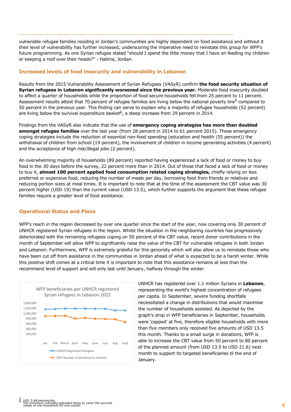vulnerable refugee families residing in Jordan's communities are highly dependent on food assistance and without it their level of vulnerability has further increased, underscoring the imperative need to reinstate this group for WFP's future programming. As one Syrian refugee stated "should I spend the little money that I have on feeding my children or keeping a roof over their heads?" - Halima, Jordan.

# **Increased levels of food insecurity and vulnerability in Lebanon**

Results from the 2015 Vulnerability Assessment of Syrian Refugees (VASyR) confirm **the food security situation of Syrian refugees in Lebanon significantly worsened since the previous year.** Moderate food insecurity doubled to affect a quarter of households while the proportion of food secure households fell from 25 percent to 11 percent. Assessment results attest that 70 percent of refugee families are living below the national poverty line<sup>5</sup> compared to 50 percent in the previous year. This finding can serve to explain why a majority of refugee households (52 percent) are living below the survival expenditure basket<sup>6</sup>, a steep increase from 29 percent in 2014.

Findings from the VASyR also indicate that the use of **emergency coping strategies has more than doubled amongst refugee families** over the last year (from 28 percent in 2014 to 61 percent 2015). These emergency coping strategies include the reduction of essential non-food spending (education and health (55 percent)) the withdrawal of children from school (19 percent), the involvement of children in income generating activities (4 percent) and the acceptance of high risk/illegal jobs (2 percent).

An overwhelming majority of households (89 percent) reported having experienced a lack of food or money to buy food in the 30 days before the survey, 22 percent more than in 2014. Out of those that faced a lack of food or money to buy it, **almost 100 percent applied food consumption related coping strategies,** chiefly relying on less preferred or expensive food, reducing the number of meals per day, borrowing food from friends or relatives and reducing portion sizes at meal times. It is important to note that at the time of the assessment the CBT value was 30 percent higher (USD 19) than the current value (USD 13.5), which further supports the argument that these refugee families require a greater level of food assistance.

## **Operational Status and Plans**

WFP's reach in the region decreased by over one quarter since the start of the year, now covering only 30 percent of UNHCR registered Syrian refugees in the region. Whilst the situation in the neighboring countries has progressively deteriorated with the remaining refugees coping on 50 percent of the CBT value, recent donor contributions in the month of September will allow WFP to significantly raise the value of the CBT for vulnerable refugees in both Jordan and Lebanon. Furthermore, WFP is extremely grateful for this genoristy which will also allow us to reinstate those who have been cut off from assistance in the communities in Jordan ahead of what is expected to be a harsh winter. While this positive shift comes at a critical time it is important to note that this assistance remains at less than the recommend level of support and will only last until January, halfway through the winter.



UNHCR has registered over 1.1 million Syrians in **Lebanon**, representing the world's highest concentration of refugees per capita. In September, severe funding shortfalls necessitated a change in distributions that would maximise the number of households assisted. As depicted by the graph's drop in WFP beneficiaries in September, households were 'capped' at five, therefore eligible households with more than five members only received five amounts of USD 13.5 this month. Thanks to a small surge in donations, WFP is able to increase the CBT value from 50 percent to 80 percent of the planned amount (from USD 13.5 to USD 21.6) next month to support its targeted beneficiaries til the end of January.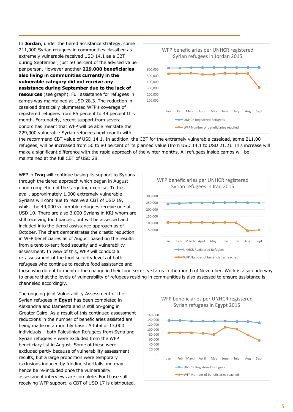In Jordan, under the tiered assistance strategy, some 211,000 Syrian refugees in communities classified as extremely vulnerable received USD 14.1 as a CBT during September, just 50 percent of the advised value per person. However another 229,000 beneficiaries also living in communities currently in the vulnerable category did not receive any assistance during September due to the lack of resources (see graph). Full assistance for refugees in camps was maintained at USD 28.3. The reduction in caseload drastically plummeted WFP's coverage of registered refugees from 85 percent to 49 percent this month. Fortunately, recent support from several donors has meant that WFP will be able reinstate the 229,000 vulnerable Syrian refugees next month with



the recommend CBT value of USD 14.1. In addition, the CBT for the extremely vulnerable caseload, some 211,00 refugees, will be increased from 50 to 80 percent of its planned value (from USD 14.1 to USD 21.2). This increase will make a significant difference with the rapid approach of the winter months. All refugees inside camps will be maintained at the full CBT of USD 28.

WFP in Iraq will continue basing its support to Syrians through the tiered approach which began in August upon completion of the targeting exercise. To this avail, approximately 1,000 extremely vulnerable Syrians will continue to receive a CBT of USD 19, whilst the 49,000 vulnerable refugees receive one of USD 10. There are also 3,000 Syrians in KRI whom are still receiving food parcels, but will be assessed and included into the tiered assistance approach as of October. The chart demonstrates the drastic reduction in WFP beneficiaries as of August based on the results from a tent-to-tent food security and vulnerability assessment. In view of this, WFP will conduct a re-assessment of the food security levels of both refugees who continue to receive food assistance and



those who do not to monitor the change in their food security status in the month of November. Work is also underway to ensure that the levels of vulnerability of refugees residing in communities is also assessed to ensure assistance is channeled accordingly.

The ongoing joint Vulnerability Assessment of the Syrian refugees in **Egypt** has been completed in Alexandria and Damietta and is still on-going in Greater Cairo. As a result of this continued assessment reductions in the number of beneficiaries assisted are being made on a monthly basis. A total of 13,000 individuals - both Palestinian Refugees from Syria and Syrian refugees - were excluded from the WFP beneficiary list in August. Some of these were excluded partly because of vulnerability assessment results, but a large proportion were temporary exclusions induced by funding shortfalls and may hence be re-included once the vulnerability assessment interviews are complete. For those still receiving WFP support, a CBT of USD 17 is distributed.